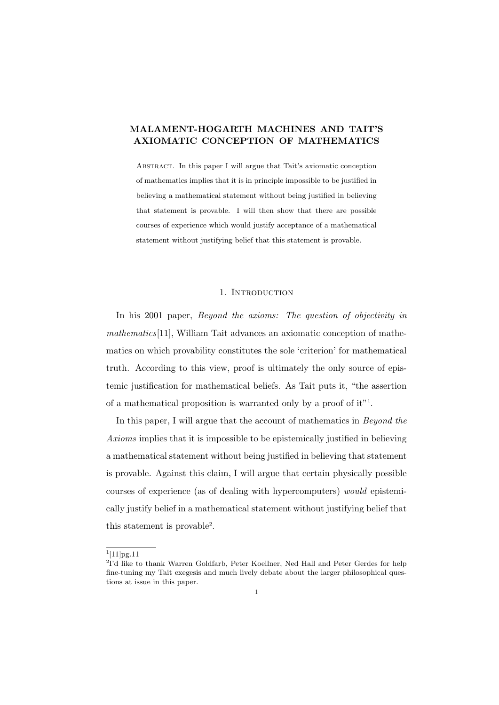Abstract. In this paper I will argue that Tait's axiomatic conception of mathematics implies that it is in principle impossible to be justified in believing a mathematical statement without being justified in believing that statement is provable. I will then show that there are possible courses of experience which would justify acceptance of a mathematical statement without justifying belief that this statement is provable.

# 1. INTRODUCTION

In his 2001 paper, Beyond the axioms: The question of objectivity in mathematics[11], William Tait advances an axiomatic conception of mathematics on which provability constitutes the sole 'criterion' for mathematical truth. According to this view, proof is ultimately the only source of epistemic justification for mathematical beliefs. As Tait puts it, "the assertion of a mathematical proposition is warranted only by a proof of it"<sup>1</sup> .

In this paper, I will argue that the account of mathematics in *Beyond the* Axioms implies that it is impossible to be epistemically justified in believing a mathematical statement without being justified in believing that statement is provable. Against this claim, I will argue that certain physically possible courses of experience (as of dealing with hypercomputers) would epistemically justify belief in a mathematical statement without justifying belief that this statement is provable<sup>2</sup>.

 $1[11]$ pg.11

<sup>&</sup>lt;sup>2</sup>I'd like to thank Warren Goldfarb, Peter Koellner, Ned Hall and Peter Gerdes for help fine-tuning my Tait exegesis and much lively debate about the larger philosophical questions at issue in this paper.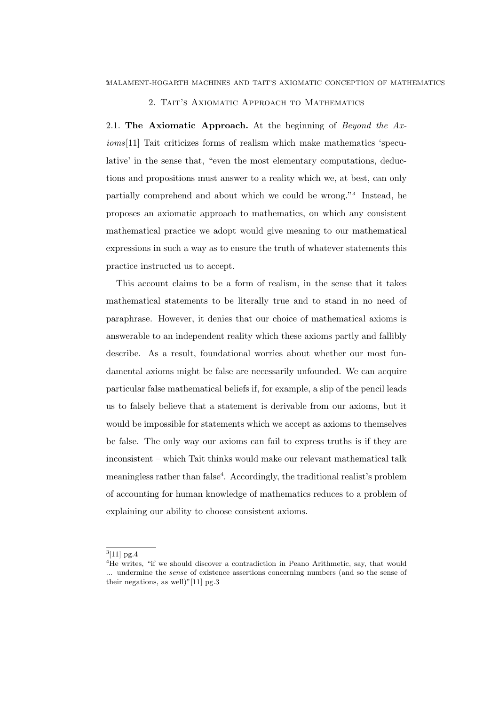## 2. TAIT'S AXIOMATIC APPROACH TO MATHEMATICS

2.1. The Axiomatic Approach. At the beginning of Beyond the  $Ax$ ioms[11] Tait criticizes forms of realism which make mathematics 'speculative' in the sense that, "even the most elementary computations, deductions and propositions must answer to a reality which we, at best, can only partially comprehend and about which we could be wrong."<sup>3</sup> Instead, he proposes an axiomatic approach to mathematics, on which any consistent mathematical practice we adopt would give meaning to our mathematical expressions in such a way as to ensure the truth of whatever statements this practice instructed us to accept.

This account claims to be a form of realism, in the sense that it takes mathematical statements to be literally true and to stand in no need of paraphrase. However, it denies that our choice of mathematical axioms is answerable to an independent reality which these axioms partly and fallibly describe. As a result, foundational worries about whether our most fundamental axioms might be false are necessarily unfounded. We can acquire particular false mathematical beliefs if, for example, a slip of the pencil leads us to falsely believe that a statement is derivable from our axioms, but it would be impossible for statements which we accept as axioms to themselves be false. The only way our axioms can fail to express truths is if they are inconsistent – which Tait thinks would make our relevant mathematical talk meaningless rather than false<sup>4</sup>. Accordingly, the traditional realist's problem of accounting for human knowledge of mathematics reduces to a problem of explaining our ability to choose consistent axioms.

 $^{3}[11]$  pg.4

<sup>&</sup>lt;sup>4</sup>He writes, "if we should discover a contradiction in Peano Arithmetic, say, that would ... undermine the sense of existence assertions concerning numbers (and so the sense of their negations, as well)"[11]  $pg.3$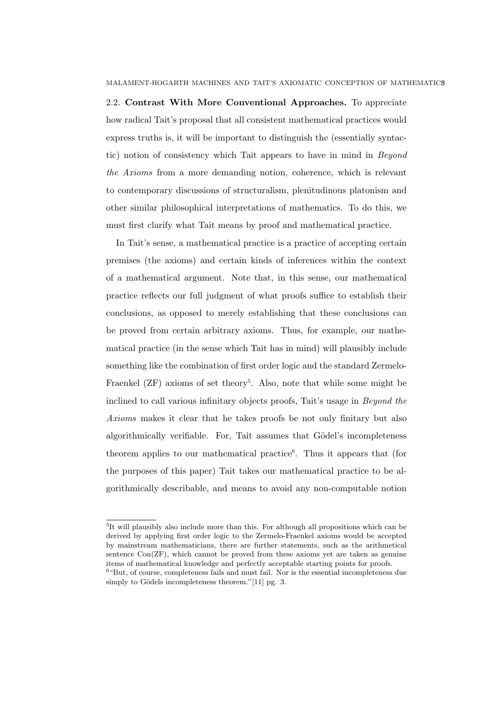2.2. Contrast With More Conventional Approaches. To appreciate how radical Tait's proposal that all consistent mathematical practices would express truths is, it will be important to distinguish the (essentially syntactic) notion of consistency which Tait appears to have in mind in Beyond the Axioms from a more demanding notion, coherence, which is relevant to contemporary discussions of structuralism, plenitudinous platonism and other similar philosophical interpretations of mathematics. To do this, we must first clarify what Tait means by proof and mathematical practice.

In Tait's sense, a mathematical practice is a practice of accepting certain premises (the axioms) and certain kinds of inferences within the context of a mathematical argument. Note that, in this sense, our mathematical practice reflects our full judgment of what proofs suffice to establish their conclusions, as opposed to merely establishing that these conclusions can be proved from certain arbitrary axioms. Thus, for example, our mathematical practice (in the sense which Tait has in mind) will plausibly include something like the combination of first order logic and the standard Zermelo-Fraenkel (ZF) axioms of set theory<sup>5</sup>. Also, note that while some might be inclined to call various infinitary objects proofs, Tait's usage in Beyond the Axioms makes it clear that he takes proofs be not only finitary but also algorithmically verifiable. For, Tait assumes that Gödel's incompleteness theorem applies to our mathematical practice<sup>6</sup>. Thus it appears that (for the purposes of this paper) Tait takes our mathematical practice to be algorithmically describable, and means to avoid any non-computable notion

<sup>5</sup> It will plausibly also include more than this. For although all propositions which can be derived by applying first order logic to the Zermelo-Fraenkel axioms would be accepted by mainstream mathematicians, there are further statements, such as the arithmetical sentence Con(ZF), which cannot be proved from these axioms yet are taken as genuine items of mathematical knowledge and perfectly acceptable starting points for proofs.

<sup>&</sup>lt;sup>6</sup>"But, of course, completeness fails and must fail. Nor is the essential incompleteness due simply to Gödels incompleteness theorem."[11] pg. 3.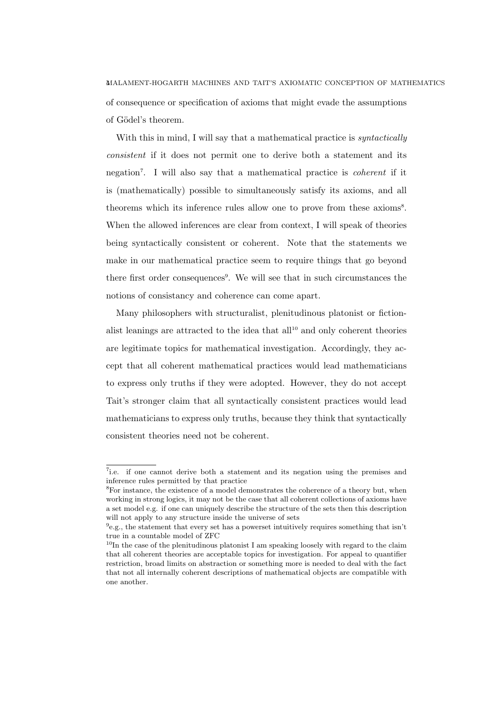4MALAMENT-HOGARTH MACHINES AND TAIT'S AXIOMATIC CONCEPTION OF MATHEMATICS of consequence or specification of axioms that might evade the assumptions of Gödel's theorem.

With this in mind, I will say that a mathematical practice is *syntactically* consistent if it does not permit one to derive both a statement and its negation<sup>7</sup>. I will also say that a mathematical practice is *coherent* if it is (mathematically) possible to simultaneously satisfy its axioms, and all theorems which its inference rules allow one to prove from these axioms<sup>8</sup>. When the allowed inferences are clear from context, I will speak of theories being syntactically consistent or coherent. Note that the statements we make in our mathematical practice seem to require things that go beyond there first order consequences<sup>9</sup>. We will see that in such circumstances the notions of consistancy and coherence can come apart.

Many philosophers with structuralist, plenitudinous platonist or fictionalist leanings are attracted to the idea that  $all<sup>10</sup>$  and only coherent theories are legitimate topics for mathematical investigation. Accordingly, they accept that all coherent mathematical practices would lead mathematicians to express only truths if they were adopted. However, they do not accept Tait's stronger claim that all syntactically consistent practices would lead mathematicians to express only truths, because they think that syntactically consistent theories need not be coherent.

<sup>&</sup>lt;sup>7</sup>i.e. if one cannot derive both a statement and its negation using the premises and inference rules permitted by that practice

<sup>8</sup>For instance, the existence of a model demonstrates the coherence of a theory but, when working in strong logics, it may not be the case that all coherent collections of axioms have a set model e.g. if one can uniquely describe the structure of the sets then this description will not apply to any structure inside the universe of sets

<sup>&</sup>lt;sup>9</sup>e.g., the statement that every set has a powerset intuitively requires something that isn't true in a countable model of ZFC

 $10$ In the case of the plenitudinous platonist I am speaking loosely with regard to the claim that all coherent theories are acceptable topics for investigation. For appeal to quantifier restriction, broad limits on abstraction or something more is needed to deal with the fact that not all internally coherent descriptions of mathematical objects are compatible with one another.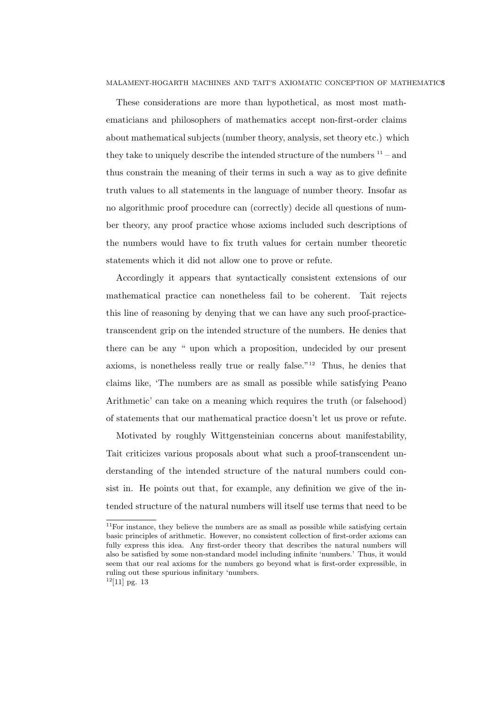These considerations are more than hypothetical, as most most mathematicians and philosophers of mathematics accept non-first-order claims about mathematical subjects (number theory, analysis, set theory etc.) which they take to uniquely describe the intended structure of the numbers  $11 -$  and thus constrain the meaning of their terms in such a way as to give definite truth values to all statements in the language of number theory. Insofar as no algorithmic proof procedure can (correctly) decide all questions of number theory, any proof practice whose axioms included such descriptions of the numbers would have to fix truth values for certain number theoretic statements which it did not allow one to prove or refute.

Accordingly it appears that syntactically consistent extensions of our mathematical practice can nonetheless fail to be coherent. Tait rejects this line of reasoning by denying that we can have any such proof-practicetranscendent grip on the intended structure of the numbers. He denies that there can be any " upon which a proposition, undecided by our present axioms, is nonetheless really true or really false."<sup>12</sup> Thus, he denies that claims like, 'The numbers are as small as possible while satisfying Peano Arithmetic' can take on a meaning which requires the truth (or falsehood) of statements that our mathematical practice doesn't let us prove or refute.

Motivated by roughly Wittgensteinian concerns about manifestability, Tait criticizes various proposals about what such a proof-transcendent understanding of the intended structure of the natural numbers could consist in. He points out that, for example, any definition we give of the intended structure of the natural numbers will itself use terms that need to be

 $11$ For instance, they believe the numbers are as small as possible while satisfying certain basic principles of arithmetic. However, no consistent collection of first-order axioms can fully express this idea. Any first-order theory that describes the natural numbers will also be satisfied by some non-standard model including infinite 'numbers.' Thus, it would seem that our real axioms for the numbers go beyond what is first-order expressible, in ruling out these spurious infinitary 'numbers.

 $12[11]$  pg. 13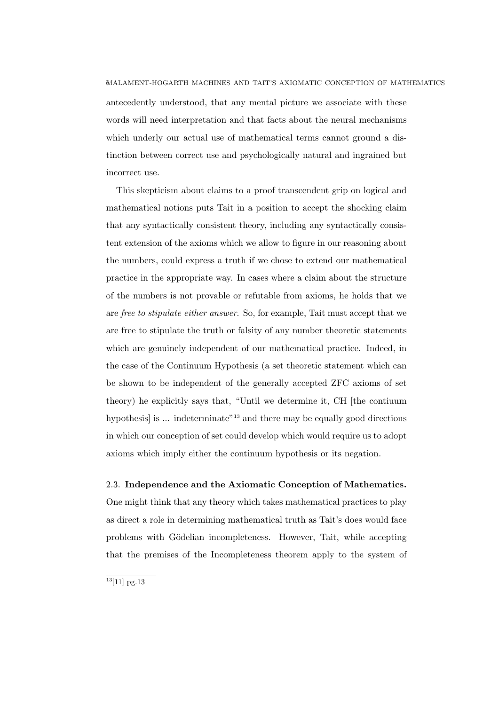antecedently understood, that any mental picture we associate with these words will need interpretation and that facts about the neural mechanisms which underly our actual use of mathematical terms cannot ground a distinction between correct use and psychologically natural and ingrained but incorrect use.

This skepticism about claims to a proof transcendent grip on logical and mathematical notions puts Tait in a position to accept the shocking claim that any syntactically consistent theory, including any syntactically consistent extension of the axioms which we allow to figure in our reasoning about the numbers, could express a truth if we chose to extend our mathematical practice in the appropriate way. In cases where a claim about the structure of the numbers is not provable or refutable from axioms, he holds that we are free to stipulate either answer. So, for example, Tait must accept that we are free to stipulate the truth or falsity of any number theoretic statements which are genuinely independent of our mathematical practice. Indeed, in the case of the Continuum Hypothesis (a set theoretic statement which can be shown to be independent of the generally accepted ZFC axioms of set theory) he explicitly says that, "Until we determine it, CH [the contiuum hypothesis is  $\ldots$  indeterminate<sup>"13</sup> and there may be equally good directions in which our conception of set could develop which would require us to adopt axioms which imply either the continuum hypothesis or its negation.

# 2.3. Independence and the Axiomatic Conception of Mathematics.

One might think that any theory which takes mathematical practices to play as direct a role in determining mathematical truth as Tait's does would face problems with Gödelian incompleteness. However, Tait, while accepting that the premises of the Incompleteness theorem apply to the system of

 $13[11]$  pg.13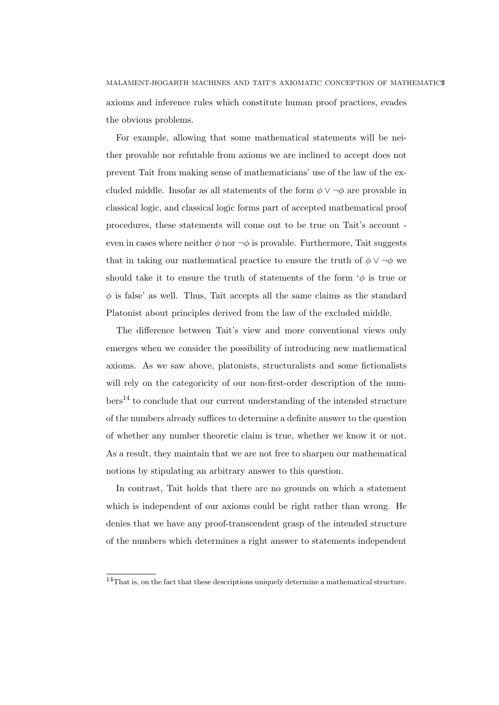MALAMENT-HOGARTH MACHINES AND TAIT'S AXIOMATIC CONCEPTION OF MATHEMATICS7 axioms and inference rules which constitute human proof practices, evades the obvious problems.

For example, allowing that some mathematical statements will be neither provable nor refutable from axioms we are inclined to accept does not prevent Tait from making sense of mathematicians' use of the law of the excluded middle. Insofar as all statements of the form  $\phi \vee \neg \phi$  are provable in classical logic, and classical logic forms part of accepted mathematical proof procedures, these statements will come out to be true on Tait's account even in cases where neither  $\phi$  nor  $\neg \phi$  is provable. Furthermore, Tait suggests that in taking our mathematical practice to ensure the truth of  $\phi \vee \neg \phi$  we should take it to ensure the truth of statements of the form  $\phi$  is true or  $\phi$  is false' as well. Thus, Tait accepts all the same claims as the standard Platonist about principles derived from the law of the excluded middle.

The difference between Tait's view and more conventional views only emerges when we consider the possibility of introducing new mathematical axioms. As we saw above, platonists, structuralists and some fictionalists will rely on the categoricity of our non-first-order description of the num- $\mathrm{bers}^{14}$  to conclude that our current understanding of the intended structure of the numbers already suffices to determine a definite answer to the question of whether any number theoretic claim is true, whether we know it or not. As a result, they maintain that we are not free to sharpen our mathematical notions by stipulating an arbitrary answer to this question.

In contrast, Tait holds that there are no grounds on which a statement which is independent of our axioms could be right rather than wrong. He denies that we have any proof-transcendent grasp of the intended structure of the numbers which determines a right answer to statements independent

<sup>14</sup>That is, on the fact that these descriptions uniquely determine a mathematical structure.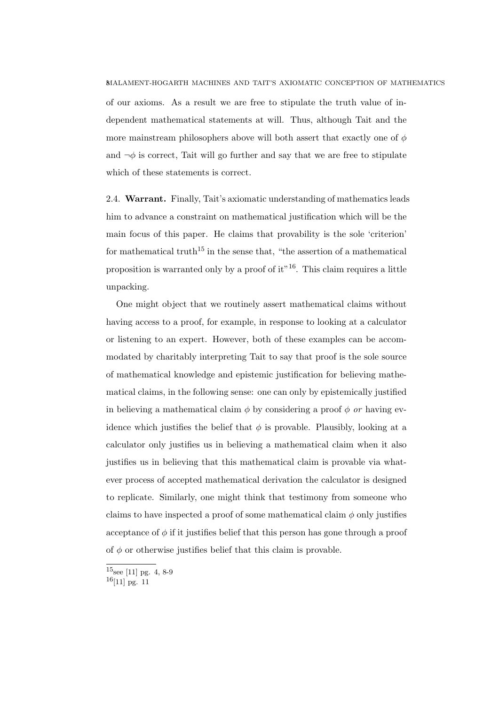of our axioms. As a result we are free to stipulate the truth value of independent mathematical statements at will. Thus, although Tait and the more mainstream philosophers above will both assert that exactly one of  $\phi$ and  $\neg \phi$  is correct. Tait will go further and say that we are free to stipulate which of these statements is correct.

2.4. Warrant. Finally, Tait's axiomatic understanding of mathematics leads him to advance a constraint on mathematical justification which will be the main focus of this paper. He claims that provability is the sole 'criterion' for mathematical truth<sup>15</sup> in the sense that, "the assertion of a mathematical proposition is warranted only by a proof of  $it$ <sup>16</sup>. This claim requires a little unpacking.

One might object that we routinely assert mathematical claims without having access to a proof, for example, in response to looking at a calculator or listening to an expert. However, both of these examples can be accommodated by charitably interpreting Tait to say that proof is the sole source of mathematical knowledge and epistemic justification for believing mathematical claims, in the following sense: one can only by epistemically justified in believing a mathematical claim  $\phi$  by considering a proof  $\phi$  or having evidence which justifies the belief that  $\phi$  is provable. Plausibly, looking at a calculator only justifies us in believing a mathematical claim when it also justifies us in believing that this mathematical claim is provable via whatever process of accepted mathematical derivation the calculator is designed to replicate. Similarly, one might think that testimony from someone who claims to have inspected a proof of some mathematical claim  $\phi$  only justifies acceptance of  $\phi$  if it justifies belief that this person has gone through a proof of  $\phi$  or otherwise justifies belief that this claim is provable.

 $^{15}\!{\rm sec}$  [11] pg. 4, 8-9

<sup>16</sup>[11] pg. 11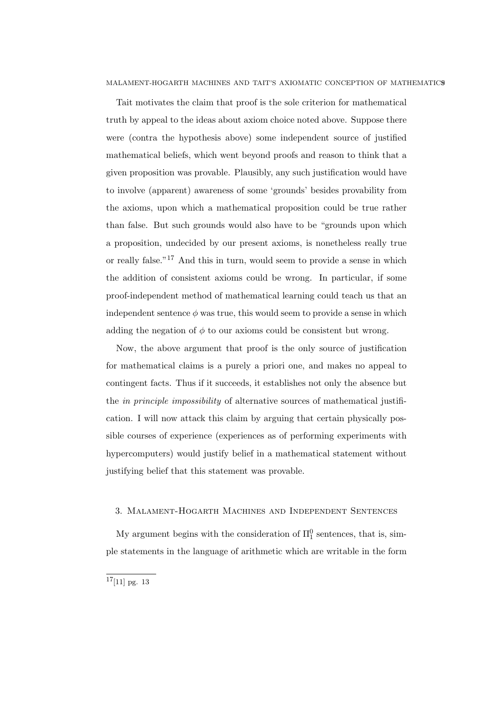Tait motivates the claim that proof is the sole criterion for mathematical truth by appeal to the ideas about axiom choice noted above. Suppose there were (contra the hypothesis above) some independent source of justified mathematical beliefs, which went beyond proofs and reason to think that a given proposition was provable. Plausibly, any such justification would have to involve (apparent) awareness of some 'grounds' besides provability from the axioms, upon which a mathematical proposition could be true rather than false. But such grounds would also have to be "grounds upon which a proposition, undecided by our present axioms, is nonetheless really true or really false."<sup>17</sup> And this in turn, would seem to provide a sense in which the addition of consistent axioms could be wrong. In particular, if some proof-independent method of mathematical learning could teach us that an independent sentence  $\phi$  was true, this would seem to provide a sense in which adding the negation of  $\phi$  to our axioms could be consistent but wrong.

Now, the above argument that proof is the only source of justification for mathematical claims is a purely a priori one, and makes no appeal to contingent facts. Thus if it succeeds, it establishes not only the absence but the in principle impossibility of alternative sources of mathematical justification. I will now attack this claim by arguing that certain physically possible courses of experience (experiences as of performing experiments with hypercomputers) would justify belief in a mathematical statement without justifying belief that this statement was provable.

# 3. Malament-Hogarth Machines and Independent Sentences

My argument begins with the consideration of  $\Pi_1^0$  sentences, that is, simple statements in the language of arithmetic which are writable in the form

 $\frac{17}{17}$ [11] pg. 13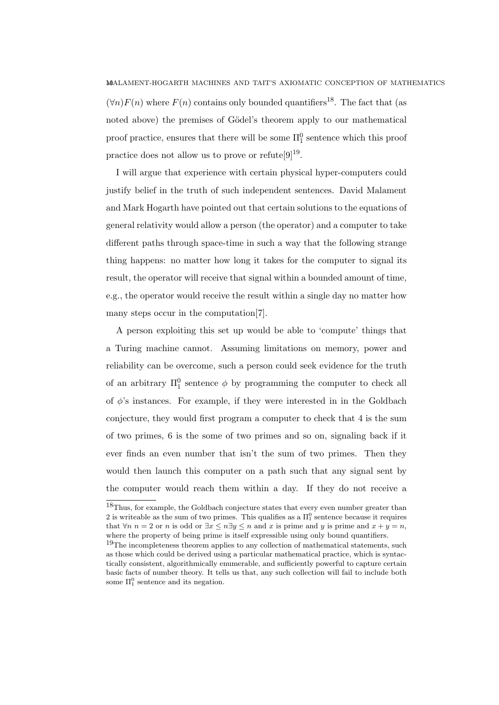$(\forall n) F(n)$  where  $F(n)$  contains only bounded quantifiers<sup>18</sup>. The fact that (as noted above) the premises of Gödel's theorem apply to our mathematical proof practice, ensures that there will be some  $\Pi_1^0$  sentence which this proof practice does not allow us to prove or refute  $[9]^{19}$ .

I will argue that experience with certain physical hyper-computers could justify belief in the truth of such independent sentences. David Malament and Mark Hogarth have pointed out that certain solutions to the equations of general relativity would allow a person (the operator) and a computer to take different paths through space-time in such a way that the following strange thing happens: no matter how long it takes for the computer to signal its result, the operator will receive that signal within a bounded amount of time, e.g., the operator would receive the result within a single day no matter how many steps occur in the computation[7].

A person exploiting this set up would be able to 'compute' things that a Turing machine cannot. Assuming limitations on memory, power and reliability can be overcome, such a person could seek evidence for the truth of an arbitrary  $\Pi_1^0$  sentence  $\phi$  by programming the computer to check all of  $\phi$ 's instances. For example, if they were interested in in the Goldbach conjecture, they would first program a computer to check that 4 is the sum of two primes, 6 is the some of two primes and so on, signaling back if it ever finds an even number that isn't the sum of two primes. Then they would then launch this computer on a path such that any signal sent by the computer would reach them within a day. If they do not receive a

 $^{18}\!{\rm Thus,}$  for example, the Goldbach conjecture states that every even number greater than 2 is writeable as the sum of two primes. This qualifies as a  $\Pi_1^0$  sentence because it requires that  $\forall n \ n = 2 \text{ or } n$  is odd or  $\exists x \leq n \exists y \leq n$  and x is prime and y is prime and  $x + y = n$ , where the property of being prime is itself expressible using only bound quantifiers.

 $19$ The incompleteness theorem applies to any collection of mathematical statements, such as those which could be derived using a particular mathematical practice, which is syntactically consistent, algorithmically enumerable, and sufficiently powerful to capture certain basic facts of number theory. It tells us that, any such collection will fail to include both some  $\Pi_1^0$  sentence and its negation.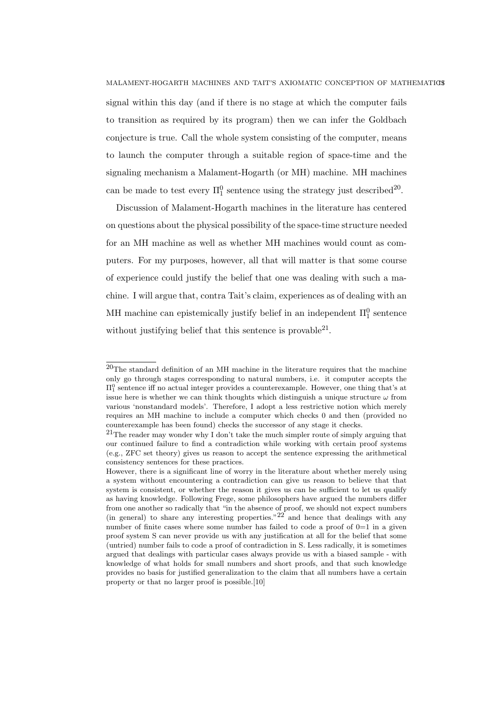signal within this day (and if there is no stage at which the computer fails to transition as required by its program) then we can infer the Goldbach conjecture is true. Call the whole system consisting of the computer, means to launch the computer through a suitable region of space-time and the signaling mechanism a Malament-Hogarth (or MH) machine. MH machines can be made to test every  $\Pi_1^0$  sentence using the strategy just described<sup>20</sup>.

Discussion of Malament-Hogarth machines in the literature has centered on questions about the physical possibility of the space-time structure needed for an MH machine as well as whether MH machines would count as computers. For my purposes, however, all that will matter is that some course of experience could justify the belief that one was dealing with such a machine. I will argue that, contra Tait's claim, experiences as of dealing with an MH machine can epistemically justify belief in an independent  $\Pi_1^0$  sentence without justifying belief that this sentence is provable $^{21}$ .

 $20$ The standard definition of an MH machine in the literature requires that the machine only go through stages corresponding to natural numbers, i.e. it computer accepts the  $\Pi_1^0$  sentence iff no actual integer provides a counterexample. However, one thing that's at issue here is whether we can think thoughts which distinguish a unique structure  $\omega$  from various 'nonstandard models'. Therefore, I adopt a less restrictive notion which merely requires an MH machine to include a computer which checks 0 and then (provided no counterexample has been found) checks the successor of any stage it checks.

 $21$ The reader may wonder why I don't take the much simpler route of simply arguing that our continued failure to find a contradiction while working with certain proof systems (e.g., ZFC set theory) gives us reason to accept the sentence expressing the arithmetical consistency sentences for these practices.

However, there is a significant line of worry in the literature about whether merely using a system without encountering a contradiction can give us reason to believe that that system is consistent, or whether the reason it gives us can be sufficient to let us qualify as having knowledge. Following Frege, some philosophers have argued the numbers differ from one another so radically that "in the absence of proof, we should not expect numbers (in general) to share any interesting properties."<sup>22</sup> and hence that dealings with any number of finite cases where some number has failed to code a proof of  $0=1$  in a given proof system S can never provide us with any justification at all for the belief that some (untried) number fails to code a proof of contradiction in S. Less radically, it is sometimes argued that dealings with particular cases always provide us with a biased sample - with knowledge of what holds for small numbers and short proofs, and that such knowledge provides no basis for justified generalization to the claim that all numbers have a certain property or that no larger proof is possible.[10]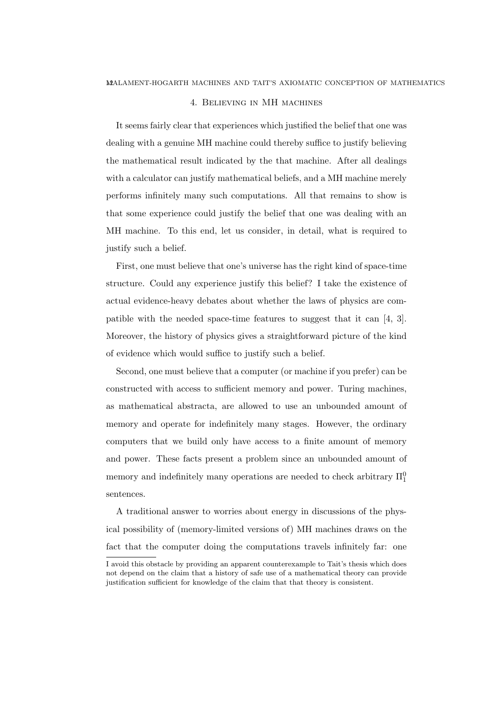### 4. Believing in MH machines

It seems fairly clear that experiences which justified the belief that one was dealing with a genuine MH machine could thereby suffice to justify believing the mathematical result indicated by the that machine. After all dealings with a calculator can justify mathematical beliefs, and a MH machine merely performs infinitely many such computations. All that remains to show is that some experience could justify the belief that one was dealing with an MH machine. To this end, let us consider, in detail, what is required to justify such a belief.

First, one must believe that one's universe has the right kind of space-time structure. Could any experience justify this belief? I take the existence of actual evidence-heavy debates about whether the laws of physics are compatible with the needed space-time features to suggest that it can [4, 3]. Moreover, the history of physics gives a straightforward picture of the kind of evidence which would suffice to justify such a belief.

Second, one must believe that a computer (or machine if you prefer) can be constructed with access to sufficient memory and power. Turing machines, as mathematical abstracta, are allowed to use an unbounded amount of memory and operate for indefinitely many stages. However, the ordinary computers that we build only have access to a finite amount of memory and power. These facts present a problem since an unbounded amount of memory and indefinitely many operations are needed to check arbitrary  $\Pi_1^0$ sentences.

A traditional answer to worries about energy in discussions of the physical possibility of (memory-limited versions of) MH machines draws on the fact that the computer doing the computations travels infinitely far: one

I avoid this obstacle by providing an apparent counterexample to Tait's thesis which does not depend on the claim that a history of safe use of a mathematical theory can provide justification sufficient for knowledge of the claim that that theory is consistent.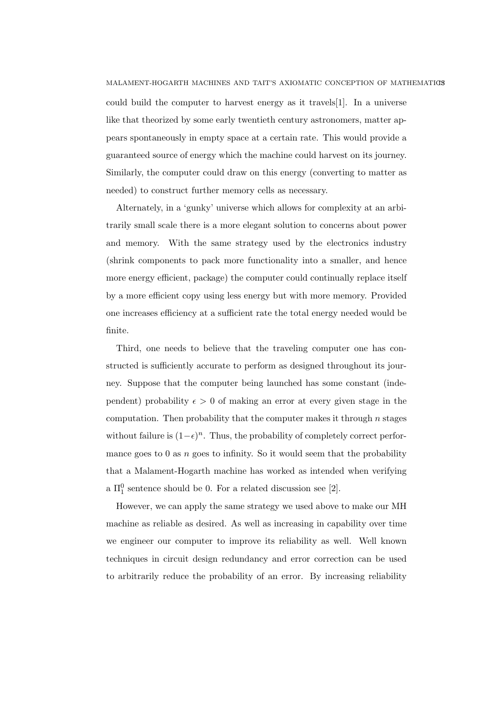could build the computer to harvest energy as it travels[1]. In a universe like that theorized by some early twentieth century astronomers, matter appears spontaneously in empty space at a certain rate. This would provide a guaranteed source of energy which the machine could harvest on its journey. Similarly, the computer could draw on this energy (converting to matter as needed) to construct further memory cells as necessary.

Alternately, in a 'gunky' universe which allows for complexity at an arbitrarily small scale there is a more elegant solution to concerns about power and memory. With the same strategy used by the electronics industry (shrink components to pack more functionality into a smaller, and hence more energy efficient, package) the computer could continually replace itself by a more efficient copy using less energy but with more memory. Provided one increases efficiency at a sufficient rate the total energy needed would be finite.

Third, one needs to believe that the traveling computer one has constructed is sufficiently accurate to perform as designed throughout its journey. Suppose that the computer being launched has some constant (independent) probability  $\epsilon > 0$  of making an error at every given stage in the computation. Then probability that the computer makes it through  $n$  stages without failure is  $(1-\epsilon)^n$ . Thus, the probability of completely correct performance goes to  $0$  as  $n$  goes to infinity. So it would seem that the probability that a Malament-Hogarth machine has worked as intended when verifying a  $\Pi_1^0$  sentence should be 0. For a related discussion see [2].

However, we can apply the same strategy we used above to make our MH machine as reliable as desired. As well as increasing in capability over time we engineer our computer to improve its reliability as well. Well known techniques in circuit design redundancy and error correction can be used to arbitrarily reduce the probability of an error. By increasing reliability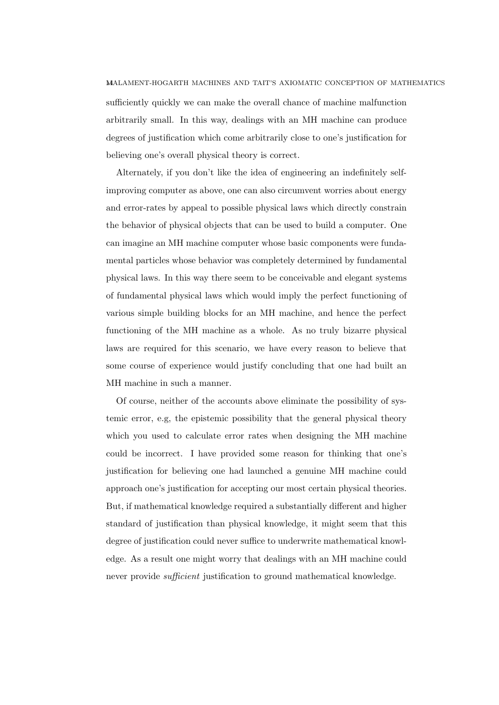sufficiently quickly we can make the overall chance of machine malfunction arbitrarily small. In this way, dealings with an MH machine can produce degrees of justification which come arbitrarily close to one's justification for believing one's overall physical theory is correct.

Alternately, if you don't like the idea of engineering an indefinitely selfimproving computer as above, one can also circumvent worries about energy and error-rates by appeal to possible physical laws which directly constrain the behavior of physical objects that can be used to build a computer. One can imagine an MH machine computer whose basic components were fundamental particles whose behavior was completely determined by fundamental physical laws. In this way there seem to be conceivable and elegant systems of fundamental physical laws which would imply the perfect functioning of various simple building blocks for an MH machine, and hence the perfect functioning of the MH machine as a whole. As no truly bizarre physical laws are required for this scenario, we have every reason to believe that some course of experience would justify concluding that one had built an MH machine in such a manner.

Of course, neither of the accounts above eliminate the possibility of systemic error, e.g, the epistemic possibility that the general physical theory which you used to calculate error rates when designing the MH machine could be incorrect. I have provided some reason for thinking that one's justification for believing one had launched a genuine MH machine could approach one's justification for accepting our most certain physical theories. But, if mathematical knowledge required a substantially different and higher standard of justification than physical knowledge, it might seem that this degree of justification could never suffice to underwrite mathematical knowledge. As a result one might worry that dealings with an MH machine could never provide *sufficient* justification to ground mathematical knowledge.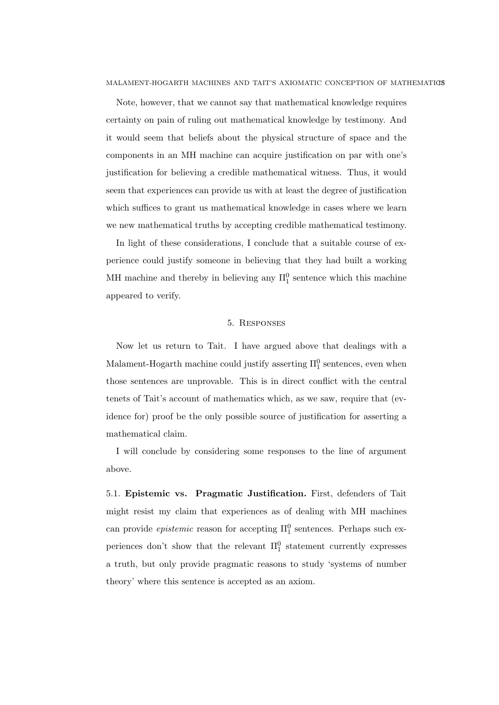Note, however, that we cannot say that mathematical knowledge requires certainty on pain of ruling out mathematical knowledge by testimony. And it would seem that beliefs about the physical structure of space and the components in an MH machine can acquire justification on par with one's justification for believing a credible mathematical witness. Thus, it would seem that experiences can provide us with at least the degree of justification which suffices to grant us mathematical knowledge in cases where we learn we new mathematical truths by accepting credible mathematical testimony.

In light of these considerations, I conclude that a suitable course of experience could justify someone in believing that they had built a working MH machine and thereby in believing any  $\Pi_1^0$  sentence which this machine appeared to verify.

### 5. Responses

Now let us return to Tait. I have argued above that dealings with a Malament-Hogarth machine could justify asserting  $\Pi_1^0$  sentences, even when those sentences are unprovable. This is in direct conflict with the central tenets of Tait's account of mathematics which, as we saw, require that (evidence for) proof be the only possible source of justification for asserting a mathematical claim.

I will conclude by considering some responses to the line of argument above.

5.1. Epistemic vs. Pragmatic Justification. First, defenders of Tait might resist my claim that experiences as of dealing with MH machines can provide *epistemic* reason for accepting  $\Pi_1^0$  sentences. Perhaps such experiences don't show that the relevant  $\Pi_1^0$  statement currently expresses a truth, but only provide pragmatic reasons to study 'systems of number theory' where this sentence is accepted as an axiom.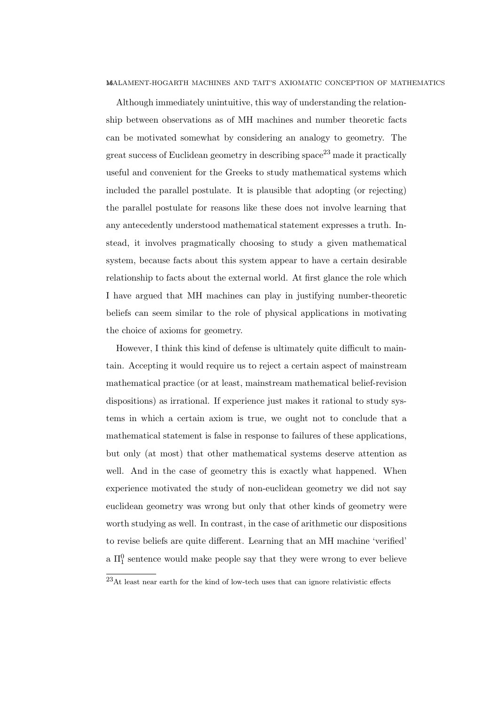Although immediately unintuitive, this way of understanding the relationship between observations as of MH machines and number theoretic facts can be motivated somewhat by considering an analogy to geometry. The great success of Euclidean geometry in describing  $space^{23}$  made it practically useful and convenient for the Greeks to study mathematical systems which included the parallel postulate. It is plausible that adopting (or rejecting) the parallel postulate for reasons like these does not involve learning that any antecedently understood mathematical statement expresses a truth. Instead, it involves pragmatically choosing to study a given mathematical system, because facts about this system appear to have a certain desirable relationship to facts about the external world. At first glance the role which I have argued that MH machines can play in justifying number-theoretic beliefs can seem similar to the role of physical applications in motivating the choice of axioms for geometry.

However, I think this kind of defense is ultimately quite difficult to maintain. Accepting it would require us to reject a certain aspect of mainstream mathematical practice (or at least, mainstream mathematical belief-revision dispositions) as irrational. If experience just makes it rational to study systems in which a certain axiom is true, we ought not to conclude that a mathematical statement is false in response to failures of these applications, but only (at most) that other mathematical systems deserve attention as well. And in the case of geometry this is exactly what happened. When experience motivated the study of non-euclidean geometry we did not say euclidean geometry was wrong but only that other kinds of geometry were worth studying as well. In contrast, in the case of arithmetic our dispositions to revise beliefs are quite different. Learning that an MH machine 'verified' a  $\Pi_1^0$  sentence would make people say that they were wrong to ever believe

 $23$ At least near earth for the kind of low-tech uses that can ignore relativistic effects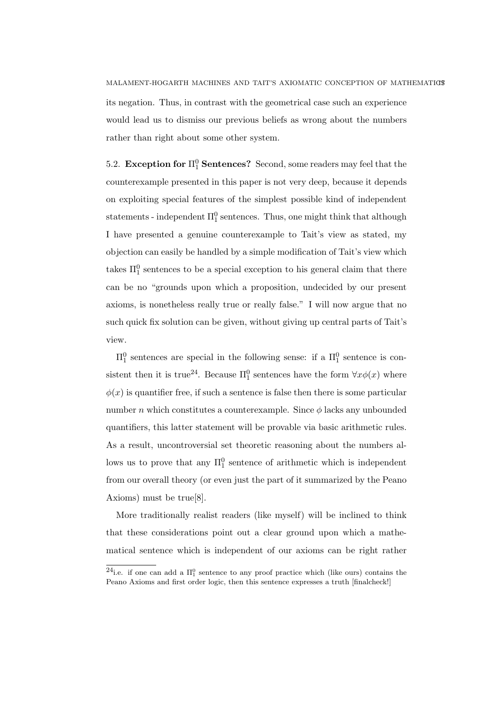its negation. Thus, in contrast with the geometrical case such an experience would lead us to dismiss our previous beliefs as wrong about the numbers rather than right about some other system.

5.2. Exception for  $\Pi_1^0$  Sentences? Second, some readers may feel that the counterexample presented in this paper is not very deep, because it depends on exploiting special features of the simplest possible kind of independent statements - independent  $\Pi_1^0$  sentences. Thus, one might think that although I have presented a genuine counterexample to Tait's view as stated, my objection can easily be handled by a simple modification of Tait's view which takes  $\Pi_1^0$  sentences to be a special exception to his general claim that there can be no "grounds upon which a proposition, undecided by our present axioms, is nonetheless really true or really false." I will now argue that no such quick fix solution can be given, without giving up central parts of Tait's view.

 $\Pi_1^0$  sentences are special in the following sense: if a  $\Pi_1^0$  sentence is consistent then it is true<sup>24</sup>. Because  $\Pi_1^0$  sentences have the form  $\forall x \phi(x)$  where  $\phi(x)$  is quantifier free, if such a sentence is false then there is some particular number n which constitutes a counterexample. Since  $\phi$  lacks any unbounded quantifiers, this latter statement will be provable via basic arithmetic rules. As a result, uncontroversial set theoretic reasoning about the numbers allows us to prove that any  $\Pi_1^0$  sentence of arithmetic which is independent from our overall theory (or even just the part of it summarized by the Peano Axioms) must be true[8].

More traditionally realist readers (like myself) will be inclined to think that these considerations point out a clear ground upon which a mathematical sentence which is independent of our axioms can be right rather

<sup>&</sup>lt;sup>24</sup>i.e. if one can add a  $\Pi_1^0$  sentence to any proof practice which (like ours) contains the Peano Axioms and first order logic, then this sentence expresses a truth [finalcheck!]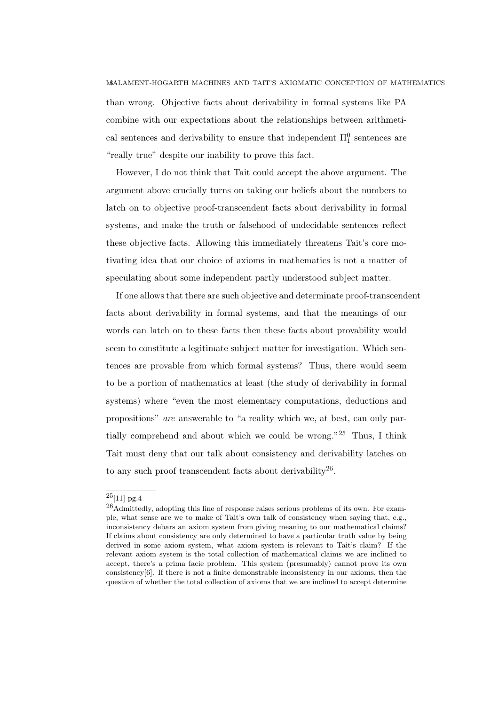than wrong. Objective facts about derivability in formal systems like PA combine with our expectations about the relationships between arithmetical sentences and derivability to ensure that independent  $\Pi_1^0$  sentences are "really true" despite our inability to prove this fact.

However, I do not think that Tait could accept the above argument. The argument above crucially turns on taking our beliefs about the numbers to latch on to objective proof-transcendent facts about derivability in formal systems, and make the truth or falsehood of undecidable sentences reflect these objective facts. Allowing this immediately threatens Tait's core motivating idea that our choice of axioms in mathematics is not a matter of speculating about some independent partly understood subject matter.

If one allows that there are such objective and determinate proof-transcendent facts about derivability in formal systems, and that the meanings of our words can latch on to these facts then these facts about provability would seem to constitute a legitimate subject matter for investigation. Which sentences are provable from which formal systems? Thus, there would seem to be a portion of mathematics at least (the study of derivability in formal systems) where "even the most elementary computations, deductions and propositions" are answerable to "a reality which we, at best, can only partially comprehend and about which we could be wrong."<sup>25</sup> Thus, I think Tait must deny that our talk about consistency and derivability latches on to any such proof transcendent facts about derivability<sup>26</sup>.

 $25[11]$  pg.4

<sup>26</sup>Admittedly, adopting this line of response raises serious problems of its own. For example, what sense are we to make of Tait's own talk of consistency when saying that, e.g., inconsistency debars an axiom system from giving meaning to our mathematical claims? If claims about consistency are only determined to have a particular truth value by being derived in some axiom system, what axiom system is relevant to Tait's claim? If the relevant axiom system is the total collection of mathematical claims we are inclined to accept, there's a prima facie problem. This system (presumably) cannot prove its own consistency $[6]$ . If there is not a finite demonstrable inconsistency in our axioms, then the question of whether the total collection of axioms that we are inclined to accept determine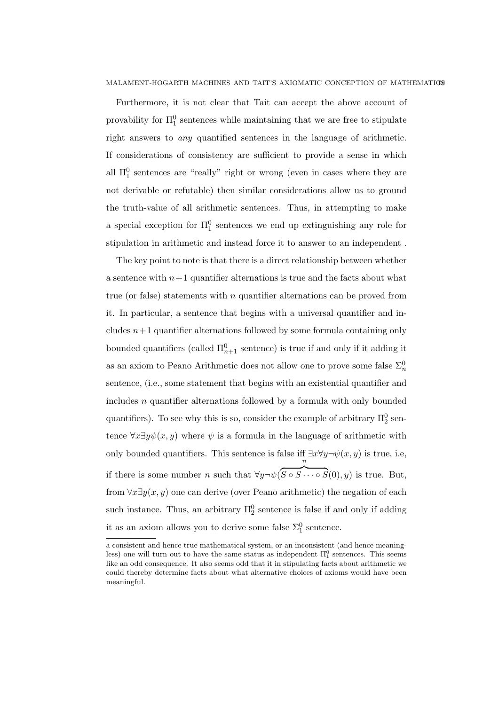Furthermore, it is not clear that Tait can accept the above account of provability for  $\Pi_1^0$  sentences while maintaining that we are free to stipulate right answers to any quantified sentences in the language of arithmetic. If considerations of consistency are sufficient to provide a sense in which all  $\Pi_1^0$  sentences are "really" right or wrong (even in cases where they are not derivable or refutable) then similar considerations allow us to ground the truth-value of all arithmetic sentences. Thus, in attempting to make a special exception for  $\Pi_1^0$  sentences we end up extinguishing any role for stipulation in arithmetic and instead force it to answer to an independent .

The key point to note is that there is a direct relationship between whether a sentence with  $n+1$  quantifier alternations is true and the facts about what true (or false) statements with n quantifier alternations can be proved from it. In particular, a sentence that begins with a universal quantifier and includes  $n+1$  quantifier alternations followed by some formula containing only bounded quantifiers (called  $\Pi_{n+1}^0$  sentence) is true if and only if it adding it as an axiom to Peano Arithmetic does not allow one to prove some false  $\Sigma^0_n$ sentence, (i.e., some statement that begins with an existential quantifier and includes  $n$  quantifier alternations followed by a formula with only bounded quantifiers). To see why this is so, consider the example of arbitrary  $\Pi^0_2$  sentence  $\forall x \exists y \psi(x, y)$  where  $\psi$  is a formula in the language of arithmetic with only bounded quantifiers. This sentence is false iff  $\exists x \forall y \neg \psi(x, y)$  is true, i.e, if there is some number n such that  $\forall y \neg \psi$ n  $S \circ S \cdots \circ S(0), y$  is true. But, from  $\forall x \exists y(x, y)$  one can derive (over Peano arithmetic) the negation of each such instance. Thus, an arbitrary  $\Pi_2^0$  sentence is false if and only if adding it as an axiom allows you to derive some false  $\Sigma^0_1$  sentence.

a consistent and hence true mathematical system, or an inconsistent (and hence meaningless) one will turn out to have the same status as independent  $\Pi_1^0$  sentences. This seems like an odd consequence. It also seems odd that it in stipulating facts about arithmetic we could thereby determine facts about what alternative choices of axioms would have been meaningful.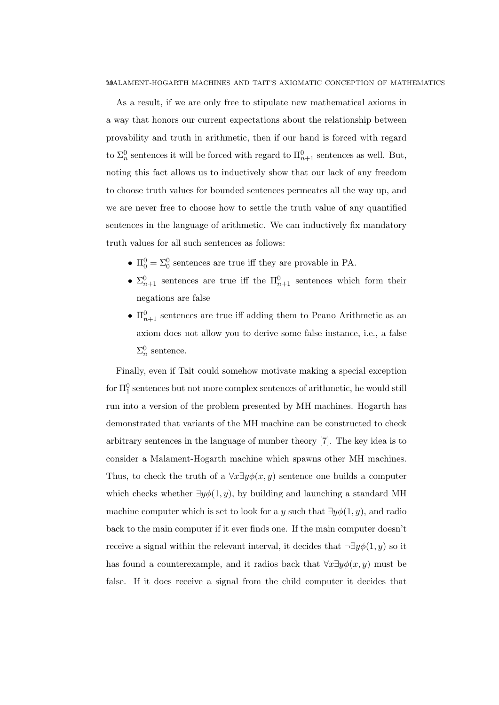As a result, if we are only free to stipulate new mathematical axioms in a way that honors our current expectations about the relationship between provability and truth in arithmetic, then if our hand is forced with regard to  $\Sigma^0_n$  sentences it will be forced with regard to  $\Pi^0_{n+1}$  sentences as well. But, noting this fact allows us to inductively show that our lack of any freedom to choose truth values for bounded sentences permeates all the way up, and we are never free to choose how to settle the truth value of any quantified sentences in the language of arithmetic. We can inductively fix mandatory truth values for all such sentences as follows:

- $\Pi_0^0 = \Sigma_0^0$  sentences are true iff they are provable in PA.
- $\Sigma_{n+1}^0$  sentences are true iff the  $\Pi_{n+1}^0$  sentences which form their negations are false
- $\Pi_{n+1}^0$  sentences are true iff adding them to Peano Arithmetic as an axiom does not allow you to derive some false instance, i.e., a false  $\Sigma_n^0$  sentence.

Finally, even if Tait could somehow motivate making a special exception for  $\Pi^0_1$  sentences but not more complex sentences of arithmetic, he would still run into a version of the problem presented by MH machines. Hogarth has demonstrated that variants of the MH machine can be constructed to check arbitrary sentences in the language of number theory [7]. The key idea is to consider a Malament-Hogarth machine which spawns other MH machines. Thus, to check the truth of a  $\forall x \exists y \phi(x, y)$  sentence one builds a computer which checks whether  $\exists y \phi(1, y)$ , by building and launching a standard MH machine computer which is set to look for a y such that  $\exists y \phi(1, y)$ , and radio back to the main computer if it ever finds one. If the main computer doesn't receive a signal within the relevant interval, it decides that  $\neg \exists y \phi(1, y)$  so it has found a counterexample, and it radios back that  $\forall x \exists y \phi(x, y)$  must be false. If it does receive a signal from the child computer it decides that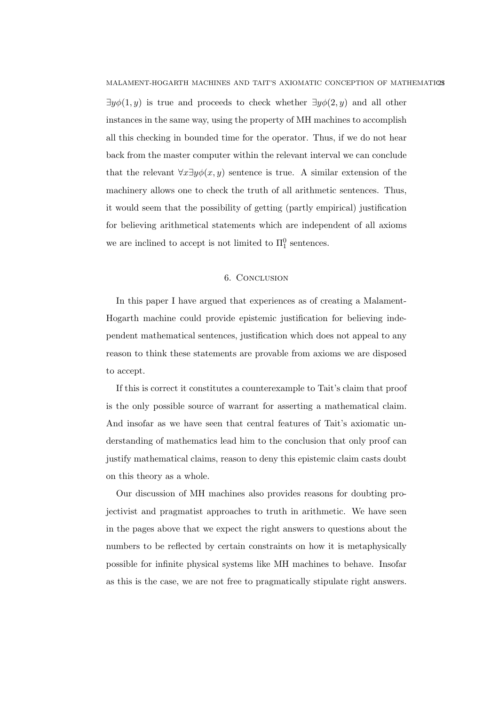MALAMENT-HOGARTH MACHINES AND TAIT'S AXIOMATIC CONCEPTION OF MATHEMATICS  $\exists y \phi(1, y)$  is true and proceeds to check whether  $\exists y \phi(2, y)$  and all other instances in the same way, using the property of MH machines to accomplish all this checking in bounded time for the operator. Thus, if we do not hear back from the master computer within the relevant interval we can conclude that the relevant  $\forall x \exists y \phi(x, y)$  sentence is true. A similar extension of the machinery allows one to check the truth of all arithmetic sentences. Thus, it would seem that the possibility of getting (partly empirical) justification for believing arithmetical statements which are independent of all axioms we are inclined to accept is not limited to  $\Pi_1^0$  sentences.

# 6. Conclusion

In this paper I have argued that experiences as of creating a Malament-Hogarth machine could provide epistemic justification for believing independent mathematical sentences, justification which does not appeal to any reason to think these statements are provable from axioms we are disposed to accept.

If this is correct it constitutes a counterexample to Tait's claim that proof is the only possible source of warrant for asserting a mathematical claim. And insofar as we have seen that central features of Tait's axiomatic understanding of mathematics lead him to the conclusion that only proof can justify mathematical claims, reason to deny this epistemic claim casts doubt on this theory as a whole.

Our discussion of MH machines also provides reasons for doubting projectivist and pragmatist approaches to truth in arithmetic. We have seen in the pages above that we expect the right answers to questions about the numbers to be reflected by certain constraints on how it is metaphysically possible for infinite physical systems like MH machines to behave. Insofar as this is the case, we are not free to pragmatically stipulate right answers.